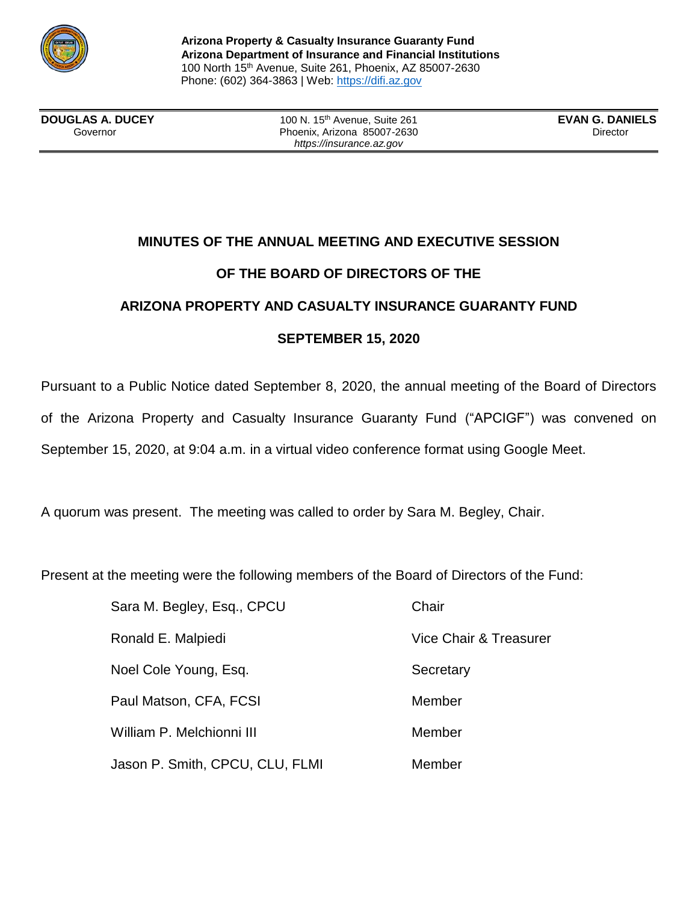

**Arizona Property & Casualty Insurance Guaranty Fund Arizona Department of Insurance and Financial Institutions** 100 North 15th Avenue, Suite 261, Phoenix, AZ 85007-2630 Phone: (602) 364-3863 | Web: https://difi.az.gov

**DOUGLAS A. DUCEY** 100 N. 15th Avenue, Suite 261 **EVAN G. DANIELS**

Governor **Contact Contact Contact Phoenix, Arizona 85007-2630 Director** Director *https://insurance.az.gov*

# **MINUTES OF THE ANNUAL MEETING AND EXECUTIVE SESSION OF THE BOARD OF DIRECTORS OF THE ARIZONA PROPERTY AND CASUALTY INSURANCE GUARANTY FUND SEPTEMBER 15, 2020**

Pursuant to a Public Notice dated September 8, 2020, the annual meeting of the Board of Directors of the Arizona Property and Casualty Insurance Guaranty Fund ("APCIGF") was convened on September 15, 2020, at 9:04 a.m. in a virtual video conference format using Google Meet.

A quorum was present. The meeting was called to order by Sara M. Begley, Chair.

Present at the meeting were the following members of the Board of Directors of the Fund:

| Sara M. Begley, Esq., CPCU      | Chair                  |
|---------------------------------|------------------------|
| Ronald E. Malpiedi              | Vice Chair & Treasurer |
| Noel Cole Young, Esq.           | Secretary              |
| Paul Matson, CFA, FCSI          | Member                 |
| William P. Melchionni III       | Member                 |
| Jason P. Smith, CPCU, CLU, FLMI | Member                 |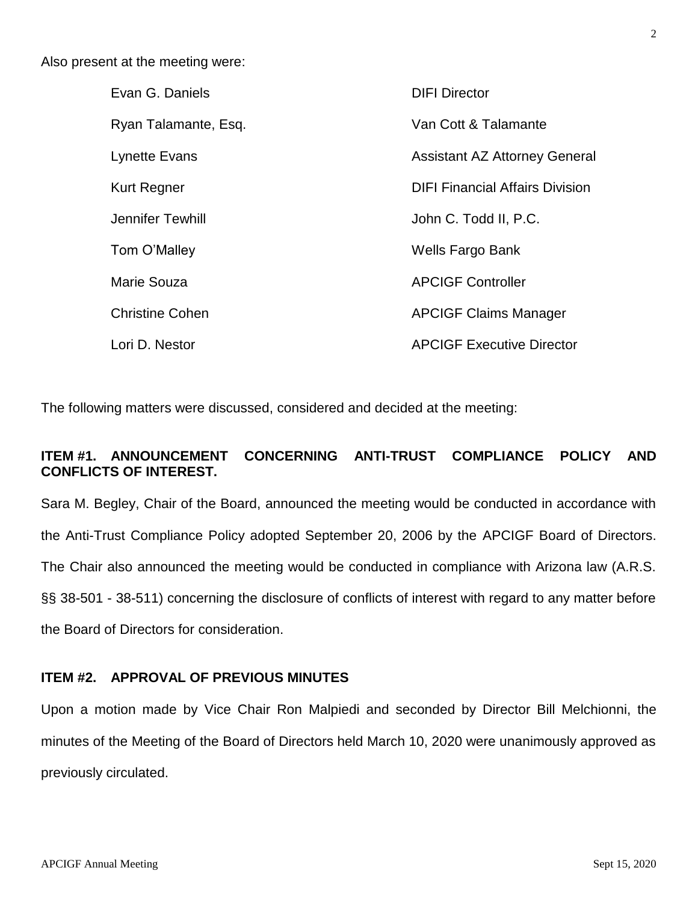Also present at the meeting were:

| Evan G. Daniels        | <b>DIFI Director</b>                   |
|------------------------|----------------------------------------|
| Ryan Talamante, Esq.   | Van Cott & Talamante                   |
| <b>Lynette Evans</b>   | <b>Assistant AZ Attorney General</b>   |
| <b>Kurt Regner</b>     | <b>DIFI Financial Affairs Division</b> |
| Jennifer Tewhill       | John C. Todd II, P.C.                  |
| Tom O'Malley           | Wells Fargo Bank                       |
| Marie Souza            | <b>APCIGF Controller</b>               |
| <b>Christine Cohen</b> | <b>APCIGF Claims Manager</b>           |
| Lori D. Nestor         | <b>APCIGF Executive Director</b>       |

The following matters were discussed, considered and decided at the meeting:

# **ITEM #1. ANNOUNCEMENT CONCERNING ANTI-TRUST COMPLIANCE POLICY AND CONFLICTS OF INTEREST.**

Sara M. Begley, Chair of the Board, announced the meeting would be conducted in accordance with the Anti-Trust Compliance Policy adopted September 20, 2006 by the APCIGF Board of Directors. The Chair also announced the meeting would be conducted in compliance with Arizona law (A.R.S. §§ 38-501 - 38-511) concerning the disclosure of conflicts of interest with regard to any matter before the Board of Directors for consideration.

### **ITEM #2. APPROVAL OF PREVIOUS MINUTES**

Upon a motion made by Vice Chair Ron Malpiedi and seconded by Director Bill Melchionni, the minutes of the Meeting of the Board of Directors held March 10, 2020 were unanimously approved as previously circulated.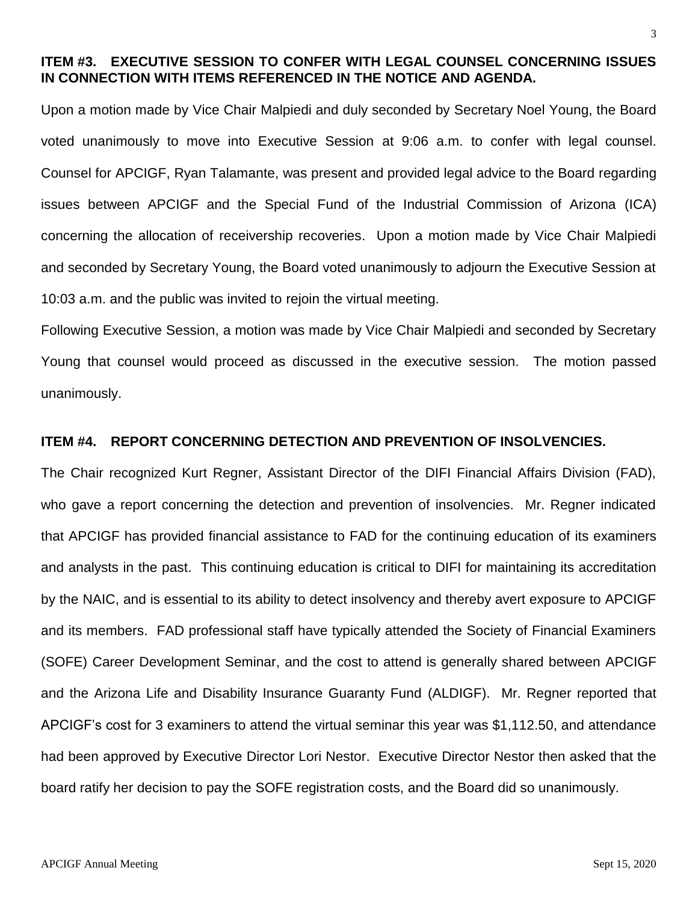# **ITEM #3. EXECUTIVE SESSION TO CONFER WITH LEGAL COUNSEL CONCERNING ISSUES IN CONNECTION WITH ITEMS REFERENCED IN THE NOTICE AND AGENDA.**

Upon a motion made by Vice Chair Malpiedi and duly seconded by Secretary Noel Young, the Board voted unanimously to move into Executive Session at 9:06 a.m. to confer with legal counsel. Counsel for APCIGF, Ryan Talamante, was present and provided legal advice to the Board regarding issues between APCIGF and the Special Fund of the Industrial Commission of Arizona (ICA) concerning the allocation of receivership recoveries. Upon a motion made by Vice Chair Malpiedi and seconded by Secretary Young, the Board voted unanimously to adjourn the Executive Session at 10:03 a.m. and the public was invited to rejoin the virtual meeting.

Following Executive Session, a motion was made by Vice Chair Malpiedi and seconded by Secretary Young that counsel would proceed as discussed in the executive session. The motion passed unanimously.

#### **ITEM #4. REPORT CONCERNING DETECTION AND PREVENTION OF INSOLVENCIES.**

The Chair recognized Kurt Regner, Assistant Director of the DIFI Financial Affairs Division (FAD), who gave a report concerning the detection and prevention of insolvencies. Mr. Regner indicated that APCIGF has provided financial assistance to FAD for the continuing education of its examiners and analysts in the past. This continuing education is critical to DIFI for maintaining its accreditation by the NAIC, and is essential to its ability to detect insolvency and thereby avert exposure to APCIGF and its members. FAD professional staff have typically attended the Society of Financial Examiners (SOFE) Career Development Seminar, and the cost to attend is generally shared between APCIGF and the Arizona Life and Disability Insurance Guaranty Fund (ALDIGF). Mr. Regner reported that APCIGF's cost for 3 examiners to attend the virtual seminar this year was \$1,112.50, and attendance had been approved by Executive Director Lori Nestor. Executive Director Nestor then asked that the board ratify her decision to pay the SOFE registration costs, and the Board did so unanimously.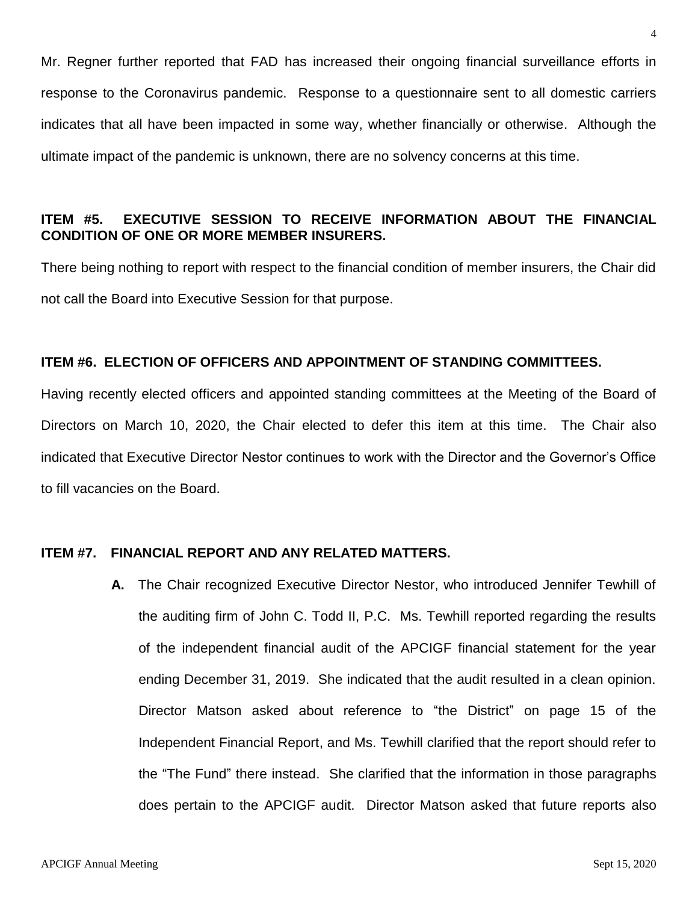Mr. Regner further reported that FAD has increased their ongoing financial surveillance efforts in response to the Coronavirus pandemic. Response to a questionnaire sent to all domestic carriers indicates that all have been impacted in some way, whether financially or otherwise. Although the ultimate impact of the pandemic is unknown, there are no solvency concerns at this time.

## **ITEM #5. EXECUTIVE SESSION TO RECEIVE INFORMATION ABOUT THE FINANCIAL CONDITION OF ONE OR MORE MEMBER INSURERS.**

There being nothing to report with respect to the financial condition of member insurers, the Chair did not call the Board into Executive Session for that purpose.

#### **ITEM #6. ELECTION OF OFFICERS AND APPOINTMENT OF STANDING COMMITTEES.**

Having recently elected officers and appointed standing committees at the Meeting of the Board of Directors on March 10, 2020, the Chair elected to defer this item at this time. The Chair also indicated that Executive Director Nestor continues to work with the Director and the Governor's Office to fill vacancies on the Board.

#### **ITEM #7. FINANCIAL REPORT AND ANY RELATED MATTERS.**

**A.** The Chair recognized Executive Director Nestor, who introduced Jennifer Tewhill of the auditing firm of John C. Todd II, P.C. Ms. Tewhill reported regarding the results of the independent financial audit of the APCIGF financial statement for the year ending December 31, 2019. She indicated that the audit resulted in a clean opinion. Director Matson asked about reference to "the District" on page 15 of the Independent Financial Report, and Ms. Tewhill clarified that the report should refer to the "The Fund" there instead. She clarified that the information in those paragraphs does pertain to the APCIGF audit. Director Matson asked that future reports also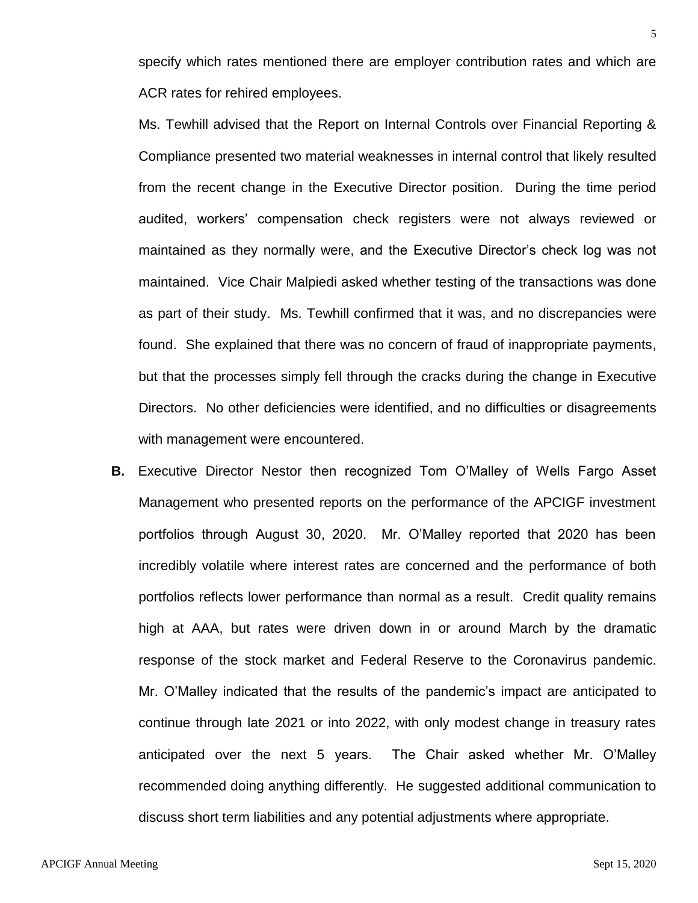specify which rates mentioned there are employer contribution rates and which are ACR rates for rehired employees.

Ms. Tewhill advised that the Report on Internal Controls over Financial Reporting & Compliance presented two material weaknesses in internal control that likely resulted from the recent change in the Executive Director position. During the time period audited, workers' compensation check registers were not always reviewed or maintained as they normally were, and the Executive Director's check log was not maintained. Vice Chair Malpiedi asked whether testing of the transactions was done as part of their study. Ms. Tewhill confirmed that it was, and no discrepancies were found. She explained that there was no concern of fraud of inappropriate payments, but that the processes simply fell through the cracks during the change in Executive Directors. No other deficiencies were identified, and no difficulties or disagreements with management were encountered.

**B.** Executive Director Nestor then recognized Tom O'Malley of Wells Fargo Asset Management who presented reports on the performance of the APCIGF investment portfolios through August 30, 2020. Mr. O'Malley reported that 2020 has been incredibly volatile where interest rates are concerned and the performance of both portfolios reflects lower performance than normal as a result. Credit quality remains high at AAA, but rates were driven down in or around March by the dramatic response of the stock market and Federal Reserve to the Coronavirus pandemic. Mr. O'Malley indicated that the results of the pandemic's impact are anticipated to continue through late 2021 or into 2022, with only modest change in treasury rates anticipated over the next 5 years. The Chair asked whether Mr. O'Malley recommended doing anything differently. He suggested additional communication to discuss short term liabilities and any potential adjustments where appropriate.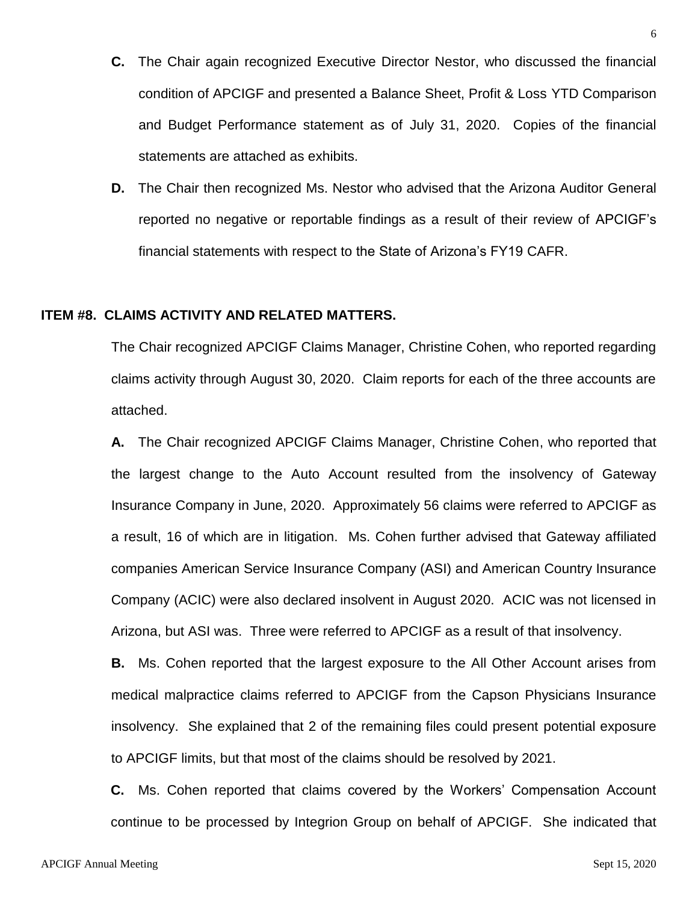- **C.** The Chair again recognized Executive Director Nestor, who discussed the financial condition of APCIGF and presented a Balance Sheet, Profit & Loss YTD Comparison and Budget Performance statement as of July 31, 2020. Copies of the financial statements are attached as exhibits.
- **D.** The Chair then recognized Ms. Nestor who advised that the Arizona Auditor General reported no negative or reportable findings as a result of their review of APCIGF's financial statements with respect to the State of Arizona's FY19 CAFR.

#### **ITEM #8. CLAIMS ACTIVITY AND RELATED MATTERS.**

The Chair recognized APCIGF Claims Manager, Christine Cohen, who reported regarding claims activity through August 30, 2020. Claim reports for each of the three accounts are attached.

**A.** The Chair recognized APCIGF Claims Manager, Christine Cohen, who reported that the largest change to the Auto Account resulted from the insolvency of Gateway Insurance Company in June, 2020. Approximately 56 claims were referred to APCIGF as a result, 16 of which are in litigation. Ms. Cohen further advised that Gateway affiliated companies American Service Insurance Company (ASI) and American Country Insurance Company (ACIC) were also declared insolvent in August 2020. ACIC was not licensed in Arizona, but ASI was. Three were referred to APCIGF as a result of that insolvency.

**B.** Ms. Cohen reported that the largest exposure to the All Other Account arises from medical malpractice claims referred to APCIGF from the Capson Physicians Insurance insolvency. She explained that 2 of the remaining files could present potential exposure to APCIGF limits, but that most of the claims should be resolved by 2021.

**C.** Ms. Cohen reported that claims covered by the Workers' Compensation Account continue to be processed by Integrion Group on behalf of APCIGF. She indicated that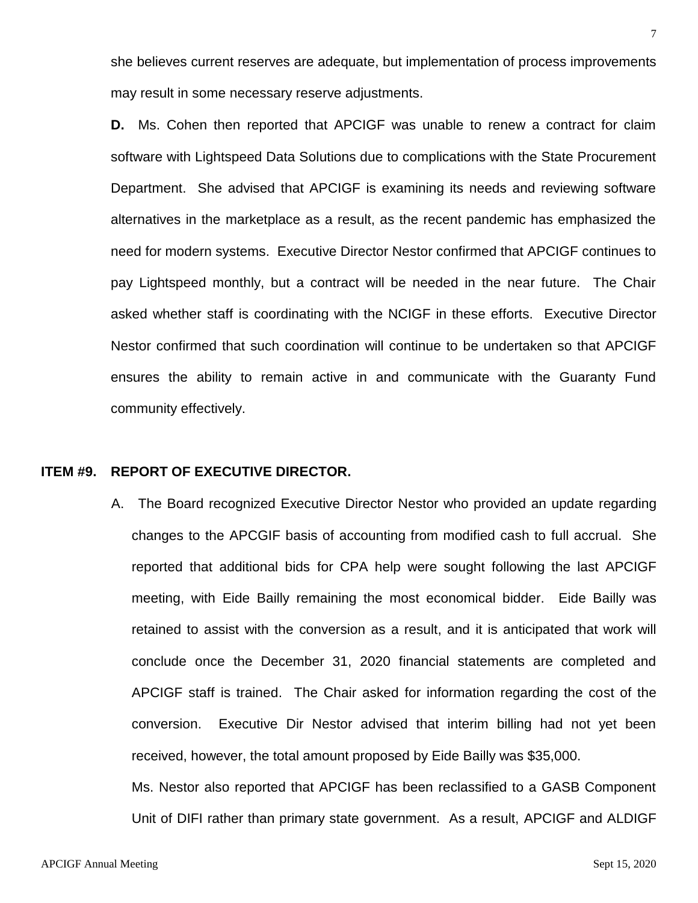she believes current reserves are adequate, but implementation of process improvements may result in some necessary reserve adjustments.

**D.** Ms. Cohen then reported that APCIGF was unable to renew a contract for claim software with Lightspeed Data Solutions due to complications with the State Procurement Department. She advised that APCIGF is examining its needs and reviewing software alternatives in the marketplace as a result, as the recent pandemic has emphasized the need for modern systems. Executive Director Nestor confirmed that APCIGF continues to pay Lightspeed monthly, but a contract will be needed in the near future. The Chair asked whether staff is coordinating with the NCIGF in these efforts. Executive Director Nestor confirmed that such coordination will continue to be undertaken so that APCIGF ensures the ability to remain active in and communicate with the Guaranty Fund community effectively.

#### **ITEM #9. REPORT OF EXECUTIVE DIRECTOR.**

A. The Board recognized Executive Director Nestor who provided an update regarding changes to the APCGIF basis of accounting from modified cash to full accrual. She reported that additional bids for CPA help were sought following the last APCIGF meeting, with Eide Bailly remaining the most economical bidder. Eide Bailly was retained to assist with the conversion as a result, and it is anticipated that work will conclude once the December 31, 2020 financial statements are completed and APCIGF staff is trained. The Chair asked for information regarding the cost of the conversion. Executive Dir Nestor advised that interim billing had not yet been received, however, the total amount proposed by Eide Bailly was \$35,000.

Ms. Nestor also reported that APCIGF has been reclassified to a GASB Component Unit of DIFI rather than primary state government. As a result, APCIGF and ALDIGF